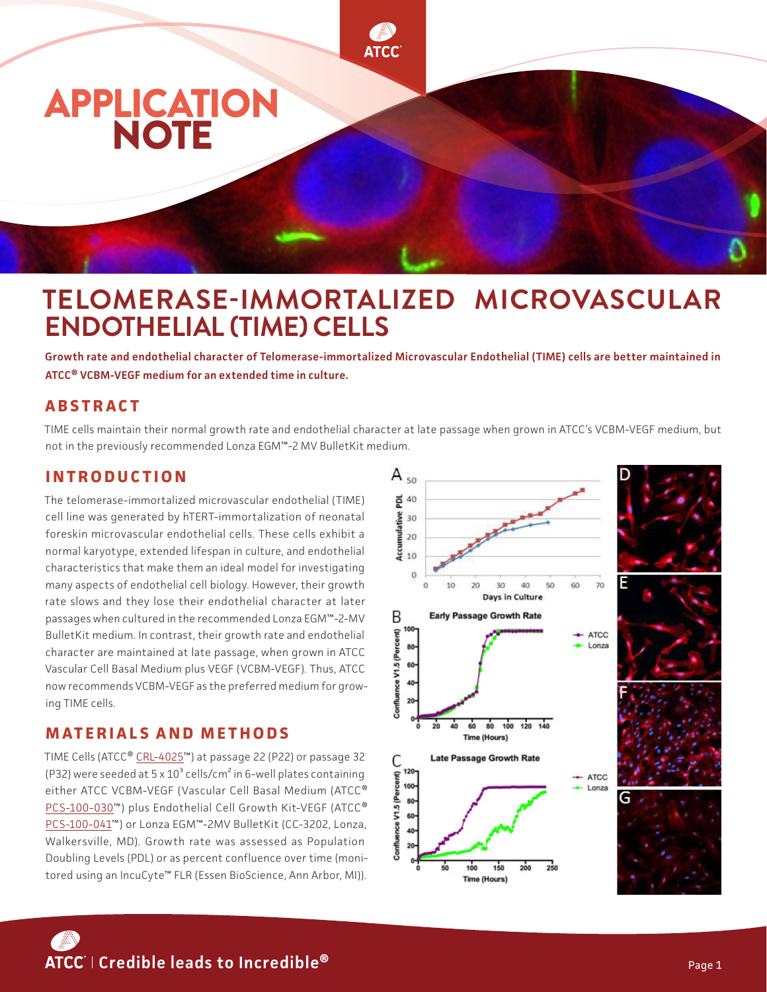

# **TELOMERASE-IMMORTALIZED MICROVASCULAR ENDOTHELIAL (TIME) CELLS**

**Growth rate and endothelial character of Telomerase-immortalized Microvascular Endothelial (TIME) cells are better maintained in ATCC® VCBM-VEGF medium for an extended time in culture.** 

## **A B S T R A C T**

TIME cells maintain their normal growth rate and endothelial character at late passage when grown in ATCC's VCBM-VEGF medium, but not in the previously recommended Lonza EGM™-2 MV BulletKit medium.

#### **INTRODUCTION**

The telomerase-immortalized microvascular endothelial (TIME) cell line was generated by hTERT-immortalization of neonatal foreskin microvascular endothelial cells. These cells exhibit a normal karyotype, extended lifespan in culture, and endothelial characteristics that make them an ideal model for investigating many aspects of endothelial cell biology. However, their growth rate slows and they lose their endothelial character at later passages when cultured in the recommended Lonza EGM™-2-MV BulletKit medium. In contrast, their growth rate and endothelial character are maintained at late passage, when grown in ATCC Vascular Cell Basal Medium plus VEGF (VCBM-VEGF). Thus, ATCC now recommends VCBM-VEGF as the preferred medium for growing TIME cells.

#### **MATERIALS AND METHODS**

TIME Cells (ATCC® [CRL-4025™](https://www.atcc.org/products/crl-4025)) at passage 22 (P22) or passage 32 (P32) were seeded at  $5 \times 10^3$  cells/cm<sup>2</sup> in 6-well plates containing either ATCC VCBM-VEGF (Vascular Cell Basal Medium (ATCC® [PCS-100-030™](https://www.atcc.org/products/pcs-100-030)) plus Endothelial Cell Growth Kit-VEGF (ATCC® [PCS-100-041](https://www.atcc.org/products/pcs-100-041)™) or Lonza EGM™-2MV BulletKit (CC-3202, Lonza, Walkersville, MD). Growth rate was assessed as Population Doubling Levels (PDL) or as percent confluence over time (monitored using an IncuCyte™ FLR (Essen BioScience, Ann Arbor, MI)).